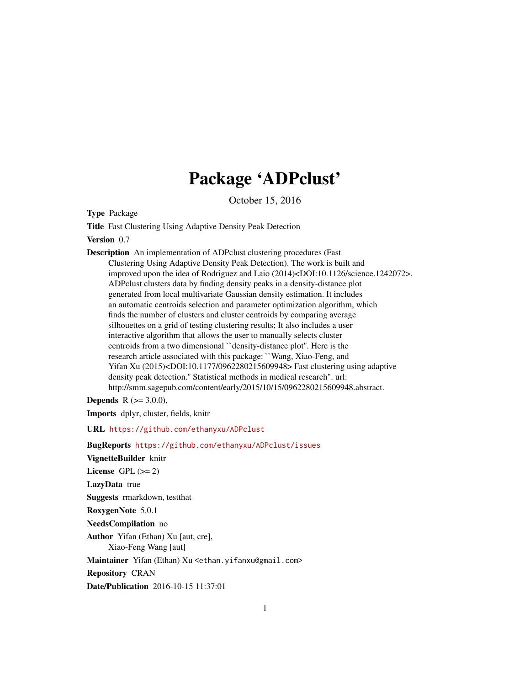## Package 'ADPclust'

October 15, 2016

Type Package

Title Fast Clustering Using Adaptive Density Peak Detection

Version 0.7

Description An implementation of ADPclust clustering procedures (Fast Clustering Using Adaptive Density Peak Detection). The work is built and improved upon the idea of Rodriguez and Laio (2014)<DOI:10.1126/science.1242072>. ADPclust clusters data by finding density peaks in a density-distance plot generated from local multivariate Gaussian density estimation. It includes an automatic centroids selection and parameter optimization algorithm, which finds the number of clusters and cluster centroids by comparing average silhouettes on a grid of testing clustering results; It also includes a user interactive algorithm that allows the user to manually selects cluster centroids from a two dimensional ``density-distance plot''. Here is the research article associated with this package: ``Wang, Xiao-Feng, and Yifan Xu (2015)<DOI:10.1177/0962280215609948> Fast clustering using adaptive density peak detection.'' Statistical methods in medical research". url: http://smm.sagepub.com/content/early/2015/10/15/0962280215609948.abstract.

**Depends** R  $(>= 3.0.0)$ ,

Imports dplyr, cluster, fields, knitr

URL <https://github.com/ethanyxu/ADPclust>

BugReports <https://github.com/ethanyxu/ADPclust/issues> VignetteBuilder knitr License GPL  $(>= 2)$ LazyData true Suggests rmarkdown, testthat RoxygenNote 5.0.1 NeedsCompilation no Author Yifan (Ethan) Xu [aut, cre], Xiao-Feng Wang [aut] Maintainer Yifan (Ethan) Xu <ethan. yifanxu@gmail.com> Repository CRAN

Date/Publication 2016-10-15 11:37:01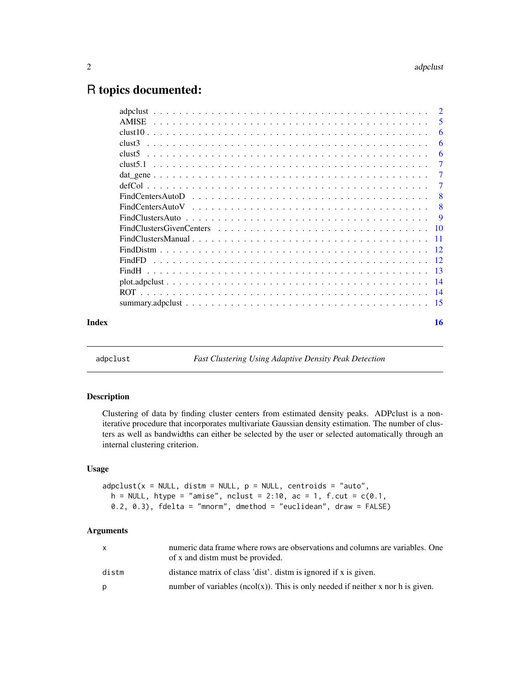### <span id="page-1-0"></span>R topics documented:

| -5<br>6<br>6<br>6<br>clust5<br>7<br>$\overline{7}$<br>-7<br>-8<br>-8<br>16 |       |  |
|----------------------------------------------------------------------------|-------|--|
|                                                                            |       |  |
|                                                                            |       |  |
|                                                                            |       |  |
|                                                                            |       |  |
|                                                                            |       |  |
|                                                                            |       |  |
|                                                                            |       |  |
|                                                                            |       |  |
|                                                                            |       |  |
|                                                                            |       |  |
|                                                                            |       |  |
|                                                                            |       |  |
|                                                                            |       |  |
|                                                                            |       |  |
|                                                                            |       |  |
|                                                                            |       |  |
|                                                                            |       |  |
|                                                                            |       |  |
|                                                                            | Index |  |

adpclust *Fast Clustering Using Adaptive Density Peak Detection*

#### Description

Clustering of data by finding cluster centers from estimated density peaks. ADPclust is a noniterative procedure that incorporates multivariate Gaussian density estimation. The number of clusters as well as bandwidths can either be selected by the user or selected automatically through an internal clustering criterion.

#### Usage

```
adpclust(x = NULL, distm = NULL, p = NULL, centroids = "auto",h = NULL, htype = "amise", nclust = 2:10, ac = 1, f.cut = c(0.1,0.2, 0.3, fdelta = "mnorm", dmethod = "euclidean", draw = FALSE)
```
#### Arguments

| x     | numeric data frame where rows are observations and columns are variables. One<br>of x and distm must be provided. |
|-------|-------------------------------------------------------------------------------------------------------------------|
| distm | distance matrix of class 'dist'. distm is ignored if x is given.                                                  |
| D     | number of variables $(ncol(x))$ . This is only needed if neither x nor h is given.                                |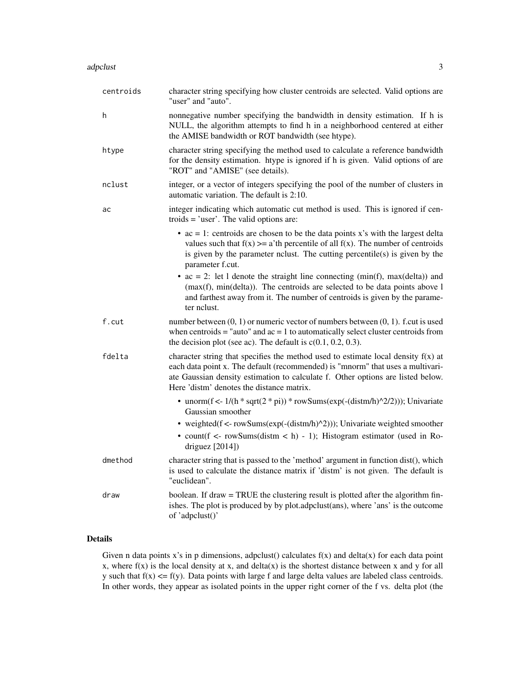| centroids | character string specifying how cluster centroids are selected. Valid options are<br>"user" and "auto".                                                                                                                                                                                               |
|-----------|-------------------------------------------------------------------------------------------------------------------------------------------------------------------------------------------------------------------------------------------------------------------------------------------------------|
| h         | nonnegative number specifying the bandwidth in density estimation. If h is<br>NULL, the algorithm attempts to find h in a neighborhood centered at either<br>the AMISE bandwidth or ROT bandwidth (see htype).                                                                                        |
| htype     | character string specifying the method used to calculate a reference bandwidth<br>for the density estimation. htype is ignored if h is given. Valid options of are<br>"ROT" and "AMISE" (see details).                                                                                                |
| nclust    | integer, or a vector of integers specifying the pool of the number of clusters in<br>automatic variation. The default is 2:10.                                                                                                                                                                        |
| ac        | integer indicating which automatic cut method is used. This is ignored if cen-<br>troids $=$ 'user'. The valid options are:                                                                                                                                                                           |
|           | • $ac = 1$ : centroids are chosen to be the data points x's with the largest delta<br>values such that $f(x) >= a'$ th percentile of all $f(x)$ . The number of centroids<br>is given by the parameter nclust. The cutting percentile(s) is given by the<br>parameter f.cut.                          |
|           | • $ac = 2$ : let 1 denote the straight line connecting (min(f), max(delta)) and<br>$(max(f), min(delta))$ . The centroids are selected to be data points above 1<br>and farthest away from it. The number of centroids is given by the parame-<br>ter nclust.                                         |
| f.cut     | number between $(0, 1)$ or numeric vector of numbers between $(0, 1)$ . f.cut is used<br>when centroids = "auto" and $ac = 1$ to automatically select cluster centroids from<br>the decision plot (see ac). The default is $c(0.1, 0.2, 0.3)$ .                                                       |
| fdelta    | character string that specifies the method used to estimate local density $f(x)$ at<br>each data point x. The default (recommended) is "mnorm" that uses a multivari-<br>ate Gaussian density estimation to calculate f. Other options are listed below.<br>Here 'distm' denotes the distance matrix. |
|           | • unorm( $f \le 1/(h * \sqrt{(2 * pi)}) * \text{rowSums}(\exp(-(\text{distm/h})^2/2)))$ ; Univariate<br>Gaussian smoother                                                                                                                                                                             |
|           | • weighted(f <- rowSums(exp(-(distm/h)^2))); Univariate weighted smoother<br>• count( $f \leq -\text{rowSums}(distm \leq h) - 1$ ); Histogram estimator (used in Ro-<br>driguez $[2014]$                                                                                                              |
| dmethod   | character string that is passed to the 'method' argument in function dist(), which<br>is used to calculate the distance matrix if 'distm' is not given. The default is<br>"euclidean".                                                                                                                |
| draw      | boolean. If draw = TRUE the clustering result is plotted after the algorithm fin-<br>ishes. The plot is produced by by plot.adpclust(ans), where 'ans' is the outcome<br>of 'adpclust()'                                                                                                              |

#### Details

Given n data points x's in p dimensions, adpclust() calculates  $f(x)$  and delta(x) for each data point x, where  $f(x)$  is the local density at x, and delta(x) is the shortest distance between x and y for all y such that  $f(x) \leq f(y)$ . Data points with large f and large delta values are labeled class centroids. In other words, they appear as isolated points in the upper right corner of the f vs. delta plot (the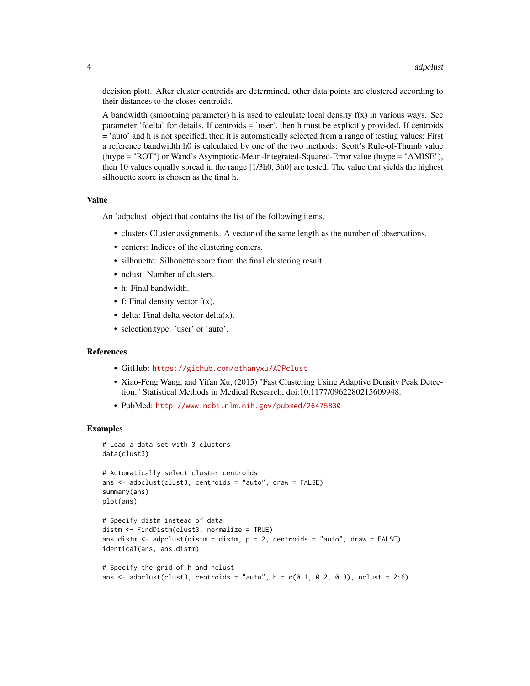decision plot). After cluster centroids are determined, other data points are clustered according to their distances to the closes centroids.

A bandwidth (smoothing parameter) h is used to calculate local density  $f(x)$  in various ways. See parameter 'fdelta' for details. If centroids = 'user', then h must be explicitly provided. If centroids = 'auto' and h is not specified, then it is automatically selected from a range of testing values: First a reference bandwidth h0 is calculated by one of the two methods: Scott's Rule-of-Thumb value (htype = "ROT") or Wand's Asymptotic-Mean-Integrated-Squared-Error value (htype = "AMISE"), then 10 values equally spread in the range [1/3h0, 3h0] are tested. The value that yields the highest silhouette score is chosen as the final h.

#### Value

An 'adpclust' object that contains the list of the following items.

- clusters Cluster assignments. A vector of the same length as the number of observations.
- centers: Indices of the clustering centers.
- silhouette: Silhouette score from the final clustering result.
- nclust: Number of clusters.
- h: Final bandwidth.
- f: Final density vector  $f(x)$ .
- $\bullet$  delta: Final delta vector delta $(x)$ .
- selection.type: 'user' or 'auto'.

#### References

- GitHub: <https://github.com/ethanyxu/ADPclust>
- Xiao-Feng Wang, and Yifan Xu, (2015) "Fast Clustering Using Adaptive Density Peak Detection." Statistical Methods in Medical Research, doi:10.1177/0962280215609948.
- PubMed: <http://www.ncbi.nlm.nih.gov/pubmed/26475830>

#### Examples

```
# Load a data set with 3 clusters
data(clust3)
# Automatically select cluster centroids
ans <- adpclust(clust3, centroids = "auto", draw = FALSE)
summary(ans)
plot(ans)
# Specify distm instead of data
distm <- FindDistm(clust3, normalize = TRUE)
ans.distm <- adpclust(distm = distm, p = 2, centroids = "auto", draw = FALSE)
identical(ans, ans.distm)
# Specify the grid of h and nclust
```

```
ans \leq adpclust(clust3, centroids = "auto", h = c(0.1, 0.2, 0.3), nclust = 2:6)
```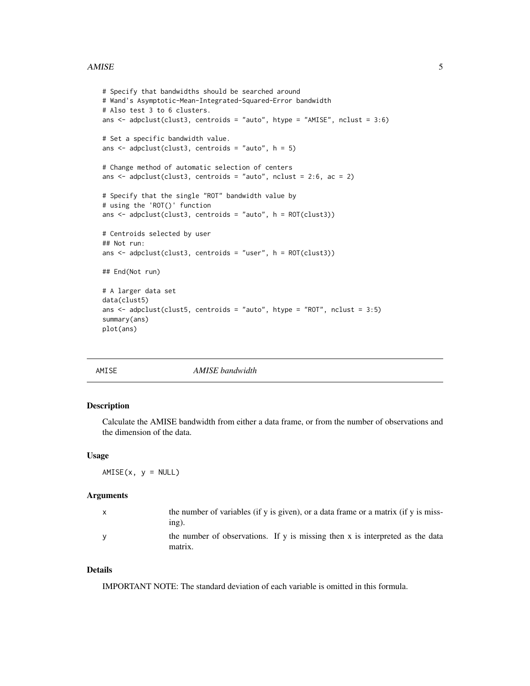#### <span id="page-4-0"></span>AMISE 5

```
# Specify that bandwidths should be searched around
# Wand's Asymptotic-Mean-Integrated-Squared-Error bandwidth
# Also test 3 to 6 clusters.
ans \leq adpclust(clust3, centroids = "auto", htype = "AMISE", nclust = 3:6)
# Set a specific bandwidth value.
ans \leq adpclust(clust3, centroids = "auto", h = 5)
# Change method of automatic selection of centers
ans \leq adpclust(clust3, centroids = "auto", nclust = 2:6, ac = 2)
# Specify that the single "ROT" bandwidth value by
# using the 'ROT()' function
ans \leq adpclust(clust3, centroids = "auto", h = ROT(clust3))
# Centroids selected by user
## Not run:
ans <- adpclust(clust3, centroids = "user", h = ROT(clust3))
## End(Not run)
# A larger data set
data(clust5)
ans <- adpclust(clust5, centroids = "auto", htype = "ROT", nclust = 3:5)
summary(ans)
plot(ans)
```
AMISE *AMISE bandwidth*

#### Description

Calculate the AMISE bandwidth from either a data frame, or from the number of observations and the dimension of the data.

#### Usage

 $AMISE(x, y = NULL)$ 

#### Arguments

| $\mathsf{x}$ | the number of variables (if y is given), or a data frame or a matrix (if y is miss-<br>$inp$ ). |
|--------------|-------------------------------------------------------------------------------------------------|
| <b>V</b>     | the number of observations. If y is missing then x is interpreted as the data<br>matrix.        |

#### Details

IMPORTANT NOTE: The standard deviation of each variable is omitted in this formula.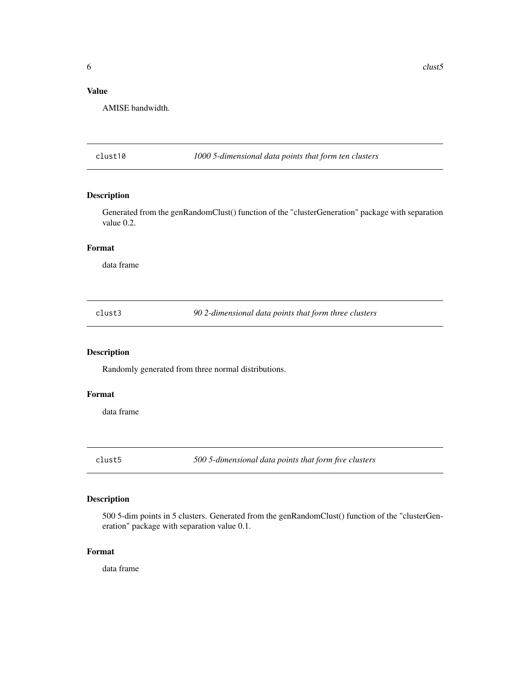#### <span id="page-5-0"></span>Value

AMISE bandwidth.

clust10 *1000 5-dimensional data points that form ten clusters*

#### Description

Generated from the genRandomClust() function of the "clusterGeneration" package with separation value 0.2.

#### Format

data frame

clust3 *90 2-dimensional data points that form three clusters*

#### Description

Randomly generated from three normal distributions.

#### Format

data frame

clust5 *500 5-dimensional data points that form five clusters*

#### Description

500 5-dim points in 5 clusters. Generated from the genRandomClust() function of the "clusterGeneration" package with separation value 0.1.

#### Format

data frame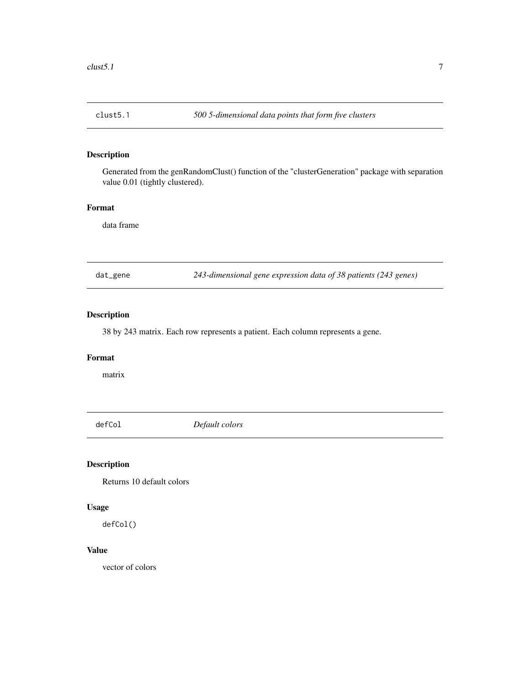<span id="page-6-0"></span>

Generated from the genRandomClust() function of the "clusterGeneration" package with separation value 0.01 (tightly clustered).

#### Format

data frame

dat\_gene *243-dimensional gene expression data of 38 patients (243 genes)*

#### Description

38 by 243 matrix. Each row represents a patient. Each column represents a gene.

#### Format

matrix

defCol *Default colors*

#### Description

Returns 10 default colors

#### Usage

defCol()

#### Value

vector of colors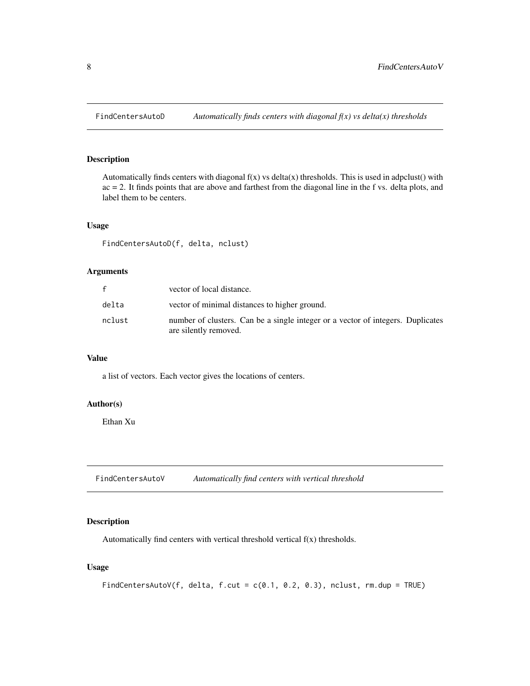<span id="page-7-0"></span>

Automatically finds centers with diagonal  $f(x)$  vs delta $(x)$  thresholds. This is used in adpclust $()$  with ac = 2. It finds points that are above and farthest from the diagonal line in the f vs. delta plots, and label them to be centers.

#### Usage

FindCentersAutoD(f, delta, nclust)

#### Arguments

| f      | vector of local distance.                                                                                |
|--------|----------------------------------------------------------------------------------------------------------|
| delta  | vector of minimal distances to higher ground.                                                            |
| nclust | number of clusters. Can be a single integer or a vector of integers. Duplicates<br>are silently removed. |

#### Value

a list of vectors. Each vector gives the locations of centers.

#### Author(s)

Ethan Xu

FindCentersAutoV *Automatically find centers with vertical threshold*

#### Description

Automatically find centers with vertical threshold vertical f(x) thresholds.

#### Usage

```
FindCentersAutoV(f, delta, f.cut = c(0.1, 0.2, 0.3), nclust, rm.dup = TRUE)
```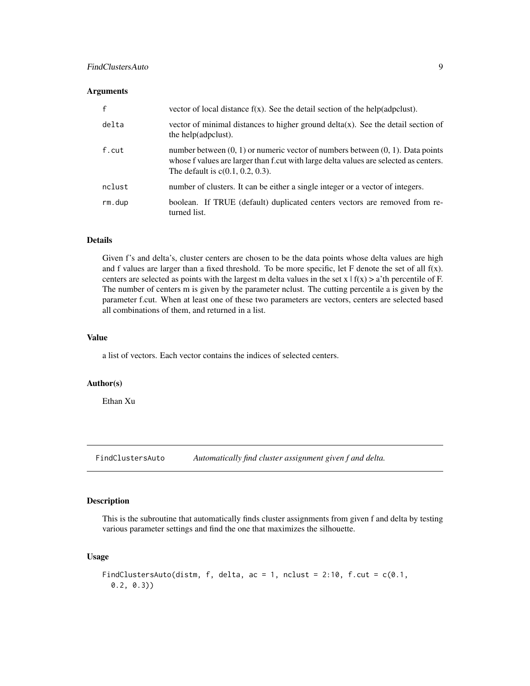#### <span id="page-8-0"></span>FindClustersAuto 9

#### **Arguments**

| $\mathsf{f}$ | vector of local distance $f(x)$ . See the detail section of the help(adpclust).                                                                                                                                     |
|--------------|---------------------------------------------------------------------------------------------------------------------------------------------------------------------------------------------------------------------|
| delta        | vector of minimal distances to higher ground delta(x). See the detail section of<br>the help(adpclust).                                                                                                             |
| f.cut        | number between $(0, 1)$ or numeric vector of numbers between $(0, 1)$ . Data points<br>whose f values are larger than f.cut with large delta values are selected as centers.<br>The default is $c(0.1, 0.2, 0.3)$ . |
| nclust       | number of clusters. It can be either a single integer or a vector of integers.                                                                                                                                      |
| rm.dup       | boolean. If TRUE (default) duplicated centers vectors are removed from re-<br>turned list.                                                                                                                          |

#### Details

Given f's and delta's, cluster centers are chosen to be the data points whose delta values are high and f values are larger than a fixed threshold. To be more specific, let  $F$  denote the set of all  $f(x)$ . centers are selected as points with the largest m delta values in the set  $x | f(x) > a'$  th percentile of F. The number of centers m is given by the parameter nclust. The cutting percentile a is given by the parameter f.cut. When at least one of these two parameters are vectors, centers are selected based all combinations of them, and returned in a list.

#### Value

a list of vectors. Each vector contains the indices of selected centers.

#### Author(s)

Ethan Xu

FindClustersAuto *Automatically find cluster assignment given f and delta.*

#### Description

This is the subroutine that automatically finds cluster assignments from given f and delta by testing various parameter settings and find the one that maximizes the silhouette.

#### Usage

```
FindClustersAuto(distm, f, delta, ac = 1, nclust = 2:10, f.cut = c(0.1),
  0.2, 0.3))
```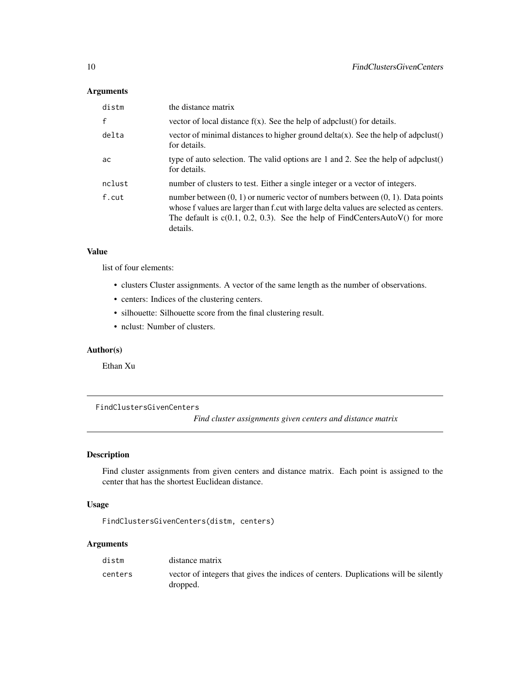#### <span id="page-9-0"></span>Arguments

| distm        | the distance matrix                                                                                                                                                                                                                                                         |
|--------------|-----------------------------------------------------------------------------------------------------------------------------------------------------------------------------------------------------------------------------------------------------------------------------|
| $\mathsf{f}$ | vector of local distance $f(x)$ . See the help of adpoilust() for details.                                                                                                                                                                                                  |
| delta        | vector of minimal distances to higher ground $delta(x)$ . See the help of adpolust()<br>for details.                                                                                                                                                                        |
| ac           | type of auto selection. The valid options are 1 and 2. See the help of adpclust()<br>for details.                                                                                                                                                                           |
| nclust       | number of clusters to test. Either a single integer or a vector of integers.                                                                                                                                                                                                |
| f.cut        | number between $(0, 1)$ or numeric vector of numbers between $(0, 1)$ . Data points<br>whose f values are larger than f.cut with large delta values are selected as centers.<br>The default is $c(0.1, 0.2, 0.3)$ . See the help of FindCentersAutoV() for more<br>details. |

#### Value

list of four elements:

- clusters Cluster assignments. A vector of the same length as the number of observations.
- centers: Indices of the clustering centers.
- silhouette: Silhouette score from the final clustering result.
- nclust: Number of clusters.

#### Author(s)

Ethan Xu

FindClustersGivenCenters

*Find cluster assignments given centers and distance matrix*

#### Description

Find cluster assignments from given centers and distance matrix. Each point is assigned to the center that has the shortest Euclidean distance.

#### Usage

FindClustersGivenCenters(distm, centers)

#### Arguments

| distm   | distance matrix                                                                                 |
|---------|-------------------------------------------------------------------------------------------------|
| centers | vector of integers that gives the indices of centers. Duplications will be silently<br>dropped. |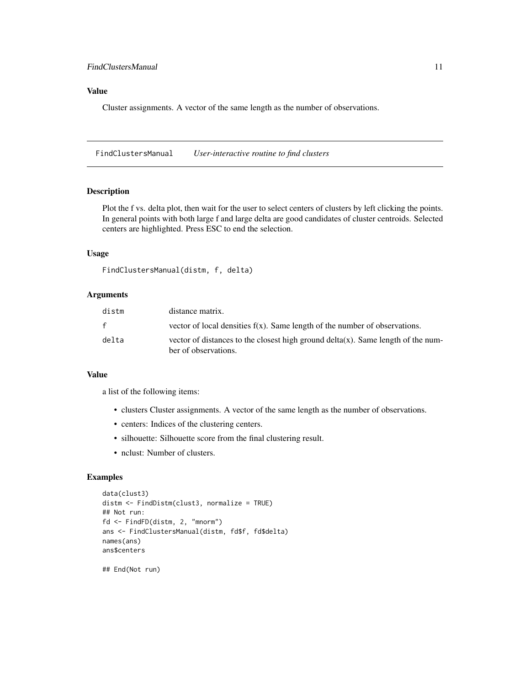#### <span id="page-10-0"></span>Value

Cluster assignments. A vector of the same length as the number of observations.

FindClustersManual *User-interactive routine to find clusters*

#### Description

Plot the f vs. delta plot, then wait for the user to select centers of clusters by left clicking the points. In general points with both large f and large delta are good candidates of cluster centroids. Selected centers are highlighted. Press ESC to end the selection.

#### Usage

```
FindClustersManual(distm, f, delta)
```
#### Arguments

| distm        | distance matrix.                                                                                            |
|--------------|-------------------------------------------------------------------------------------------------------------|
| $\mathbf{f}$ | vector of local densities $f(x)$ . Same length of the number of observations.                               |
| delta        | vector of distances to the closest high ground $delta(x)$ . Same length of the num-<br>ber of observations. |

#### Value

a list of the following items:

- clusters Cluster assignments. A vector of the same length as the number of observations.
- centers: Indices of the clustering centers.
- silhouette: Silhouette score from the final clustering result.
- nclust: Number of clusters.

#### Examples

```
data(clust3)
distm <- FindDistm(clust3, normalize = TRUE)
## Not run:
fd <- FindFD(distm, 2, "mnorm")
ans <- FindClustersManual(distm, fd$f, fd$delta)
names(ans)
ans$centers
## End(Not run)
```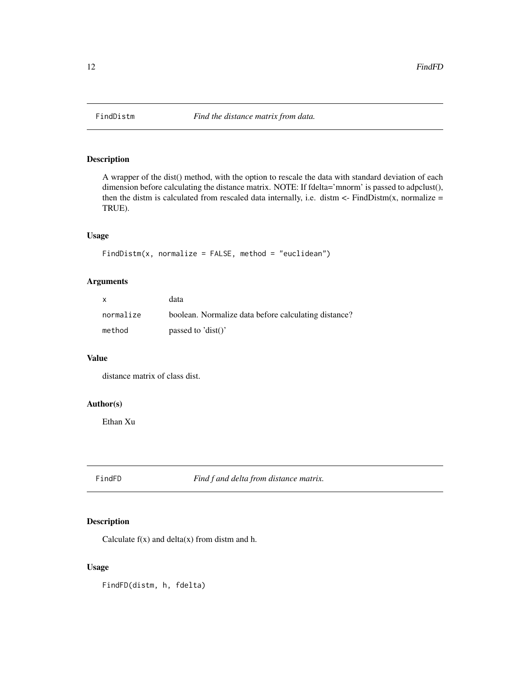<span id="page-11-0"></span>

A wrapper of the dist() method, with the option to rescale the data with standard deviation of each dimension before calculating the distance matrix. NOTE: If fdelta='mnorm' is passed to adpclust(), then the distm is calculated from rescaled data internally, i.e. distm  $\lt$ - FindDistm(x, normalize = TRUE).

#### Usage

```
FindDistm(x, normalize = FALSE, method = "euclidean")
```
#### Arguments

| X         | data                                                 |
|-----------|------------------------------------------------------|
| normalize | boolean. Normalize data before calculating distance? |
| method    | passed to $dist()$                                   |

#### Value

distance matrix of class dist.

#### Author(s)

Ethan Xu

FindFD *Find f and delta from distance matrix.*

#### Description

Calculate  $f(x)$  and delta $(x)$  from distm and h.

#### Usage

FindFD(distm, h, fdelta)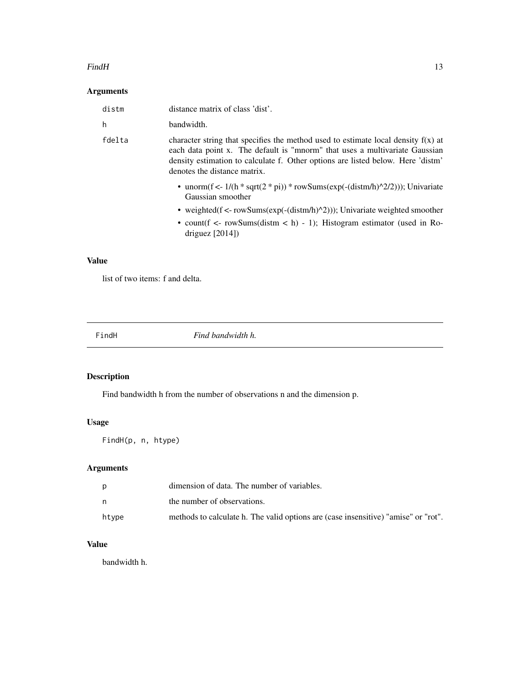#### <span id="page-12-0"></span> $Find H$  13

#### Arguments

| distm  | distance matrix of class 'dist'.                                                                                                                                                                                                                                                      |
|--------|---------------------------------------------------------------------------------------------------------------------------------------------------------------------------------------------------------------------------------------------------------------------------------------|
| h      | bandwidth.                                                                                                                                                                                                                                                                            |
| fdelta | character string that specifies the method used to estimate local density $f(x)$ at<br>each data point x. The default is "mnorm" that uses a multivariate Gaussian<br>density estimation to calculate f. Other options are listed below. Here 'distm'<br>denotes the distance matrix. |
|        | • unorm(f <- $1/(h * \sqrt{(2 * pi)}) * \text{rowSums}(\exp(-(\text{distm/h})^2/2)))$ ; Univariate<br>Gaussian smoother                                                                                                                                                               |
|        | • weighted( $f \leq -\text{rowSums}(\exp(-(\text{distm/h})^2))$ ); Univariate weighted smoother                                                                                                                                                                                       |
|        | • count $(f \leq -\text{rowSums}(distr \leq h) - 1)$ ; Histogram estimator (used in Ro-<br>driguez $[2014]$                                                                                                                                                                           |

#### Value

list of two items: f and delta.

| Find bandwidth h.<br>FindH |  |  |
|----------------------------|--|--|
|                            |  |  |

#### Description

Find bandwidth h from the number of observations n and the dimension p.

#### Usage

FindH(p, n, htype)

#### Arguments

|       | dimension of data. The number of variables.                                        |
|-------|------------------------------------------------------------------------------------|
|       | the number of observations.                                                        |
| htvpe | methods to calculate h. The valid options are (case insensitive) "amise" or "rot". |

#### Value

bandwidth h.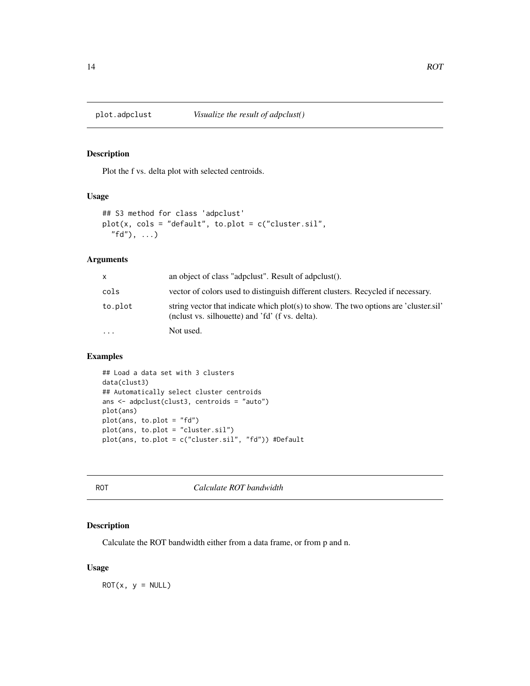<span id="page-13-0"></span>

Plot the f vs. delta plot with selected centroids.

#### Usage

```
## S3 method for class 'adpclust'
plot(x, cols = "default", to.plot = c("cluster.sil",
  "fd"), ...
```
#### Arguments

| X       | an object of class "adpolust". Result of adpolust                                                                                       |
|---------|-----------------------------------------------------------------------------------------------------------------------------------------|
| cols    | vector of colors used to distinguish different clusters. Recycled if necessary.                                                         |
| to.plot | string vector that indicate which plot(s) to show. The two options are 'cluster.sil'<br>(nelust vs. silhouette) and 'fd' (f vs. delta). |
| $\cdot$ | Not used.                                                                                                                               |

#### Examples

```
## Load a data set with 3 clusters
data(clust3)
## Automatically select cluster centroids
ans <- adpclust(clust3, centroids = "auto")
plot(ans)
plot(ans, to.plot = "fd")
plot(ans, to.plot = "cluster.sil")
plot(ans, to.plot = c("cluster.sil", "fd")) #Default
```
ROT *Calculate ROT bandwidth*

#### Description

Calculate the ROT bandwidth either from a data frame, or from p and n.

#### Usage

 $ROT(x, y = NULL)$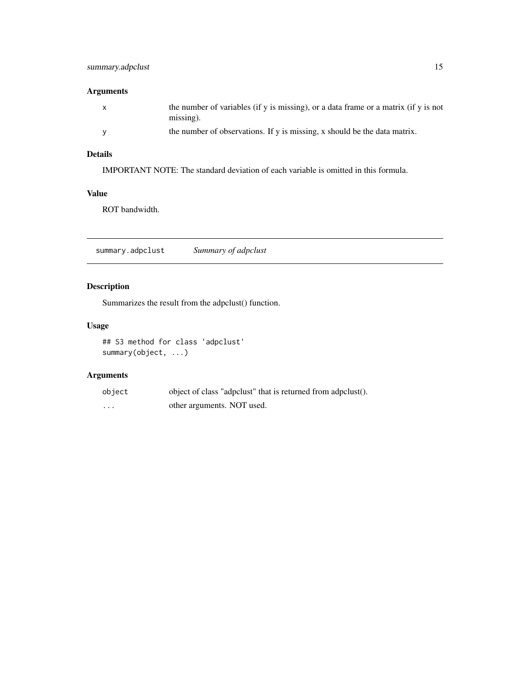#### <span id="page-14-0"></span>Arguments

| the number of variables (if y is missing), or a data frame or a matrix (if y is not<br>$missing$ ). |
|-----------------------------------------------------------------------------------------------------|
| the number of observations. If y is missing, x should be the data matrix.                           |

#### Details

IMPORTANT NOTE: The standard deviation of each variable is omitted in this formula.

#### Value

ROT bandwidth.

summary.adpclust *Summary of adpclust*

#### Description

Summarizes the result from the adpclust() function.

#### Usage

```
## S3 method for class 'adpclust'
summary(object, ...)
```
#### Arguments

| object   | object of class "adpolust" that is returned from adpolust |
|----------|-----------------------------------------------------------|
| $\cdots$ | other arguments. NOT used.                                |